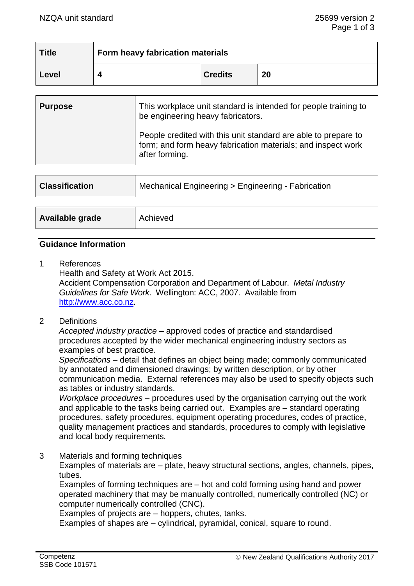| <b>Title</b> | Form heavy fabrication materials |                |    |
|--------------|----------------------------------|----------------|----|
| Level        |                                  | <b>Credits</b> | 20 |

| <b>Purpose</b> | This workplace unit standard is intended for people training to<br>be engineering heavy fabricators.                                             |  |
|----------------|--------------------------------------------------------------------------------------------------------------------------------------------------|--|
|                | People credited with this unit standard are able to prepare to<br>form; and form heavy fabrication materials; and inspect work<br>after forming. |  |

| <b>Classification</b> | Mechanical Engineering > Engineering - Fabrication |  |
|-----------------------|----------------------------------------------------|--|
|                       |                                                    |  |
| Available grade       | Achieved                                           |  |

## **Guidance Information**

1 References

Health and Safety at Work Act 2015. Accident Compensation Corporation and Department of Labour. *Metal Industry Guidelines for Safe Work*. Wellington: ACC, 2007. Available from [http://www.acc.co.nz.](http://www.acc.co.nz/)

2 Definitions

*Accepted industry practice –* approved codes of practice and standardised procedures accepted by the wider mechanical engineering industry sectors as examples of best practice.

*Specifications –* detail that defines an object being made; commonly communicated by annotated and dimensioned drawings; by written description, or by other communication media. External references may also be used to specify objects such as tables or industry standards.

*Workplace procedures –* procedures used by the organisation carrying out the work and applicable to the tasks being carried out. Examples are – standard operating procedures, safety procedures, equipment operating procedures, codes of practice, quality management practices and standards, procedures to comply with legislative and local body requirements*.*

3 Materials and forming techniques

Examples of materials are – plate, heavy structural sections, angles, channels, pipes, tubes.

Examples of forming techniques are – hot and cold forming using hand and power operated machinery that may be manually controlled, numerically controlled (NC) or computer numerically controlled (CNC).

Examples of projects are – hoppers, chutes, tanks.

Examples of shapes are – cylindrical, pyramidal, conical, square to round.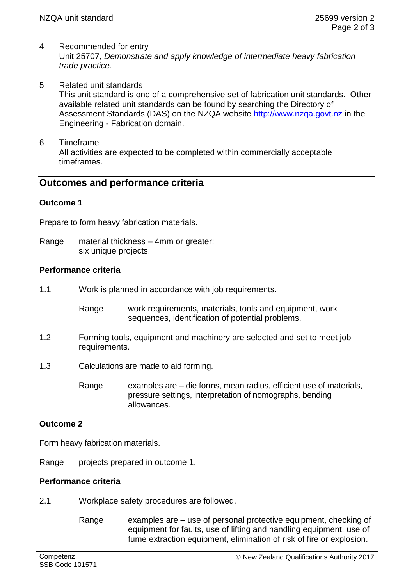- 4 Recommended for entry Unit 25707, *Demonstrate and apply knowledge of intermediate heavy fabrication trade practice.*
- 5 Related unit standards This unit standard is one of a comprehensive set of fabrication unit standards. Other available related unit standards can be found by searching the Directory of Assessment Standards (DAS) on the NZQA website [http://www.nzqa.govt.nz](http://www.nzqa.govt.nz/) in the Engineering - Fabrication domain.
- 6 Timeframe All activities are expected to be completed within commercially acceptable timeframes.

# **Outcomes and performance criteria**

# **Outcome 1**

Prepare to form heavy fabrication materials.

Range material thickness – 4mm or greater; six unique projects.

## **Performance criteria**

- 1.1 Work is planned in accordance with job requirements.
	- Range work requirements, materials, tools and equipment, work sequences, identification of potential problems.
- 1.2 Forming tools, equipment and machinery are selected and set to meet job requirements.
- 1.3 Calculations are made to aid forming.

Range examples are – die forms, mean radius, efficient use of materials, pressure settings, interpretation of nomographs, bending allowances.

# **Outcome 2**

Form heavy fabrication materials.

Range projects prepared in outcome 1.

#### **Performance criteria**

- 2.1 Workplace safety procedures are followed.
	- Range examples are  $-$  use of personal protective equipment, checking of equipment for faults, use of lifting and handling equipment, use of fume extraction equipment, elimination of risk of fire or explosion.